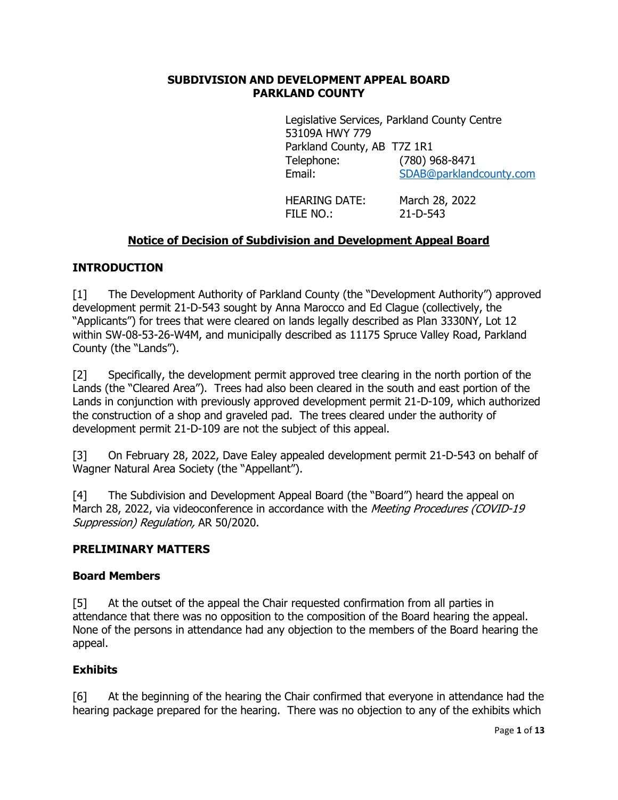### **SUBDIVISION AND DEVELOPMENT APPEAL BOARD PARKLAND COUNTY**

Legislative Services, Parkland County Centre 53109A HWY 779 Parkland County, AB T7Z 1R1 Telephone: (780) 968-8471 Email: [SDAB@parklandcounty.com](mailto:SDAB@parklandcounty.com)

HEARING DATE: March 28, 2022 FILE NO.: 21-D-543

# **Notice of Decision of Subdivision and Development Appeal Board**

## **INTRODUCTION**

[1] The Development Authority of Parkland County (the "Development Authority") approved development permit 21-D-543 sought by Anna Marocco and Ed Clague (collectively, the "Applicants") for trees that were cleared on lands legally described as Plan 3330NY, Lot 12 within SW-08-53-26-W4M, and municipally described as 11175 Spruce Valley Road, Parkland County (the "Lands").

[2] Specifically, the development permit approved tree clearing in the north portion of the Lands (the "Cleared Area"). Trees had also been cleared in the south and east portion of the Lands in conjunction with previously approved development permit 21-D-109, which authorized the construction of a shop and graveled pad. The trees cleared under the authority of development permit 21-D-109 are not the subject of this appeal.

[3] On February 28, 2022, Dave Ealey appealed development permit 21-D-543 on behalf of Wagner Natural Area Society (the "Appellant").

[4] The Subdivision and Development Appeal Board (the "Board") heard the appeal on March 28, 2022, via videoconference in accordance with the Meeting Procedures (COVID-19 Suppression) Regulation, AR 50/2020.

### **PRELIMINARY MATTERS**

#### **Board Members**

[5] At the outset of the appeal the Chair requested confirmation from all parties in attendance that there was no opposition to the composition of the Board hearing the appeal. None of the persons in attendance had any objection to the members of the Board hearing the appeal.

### **Exhibits**

[6] At the beginning of the hearing the Chair confirmed that everyone in attendance had the hearing package prepared for the hearing. There was no objection to any of the exhibits which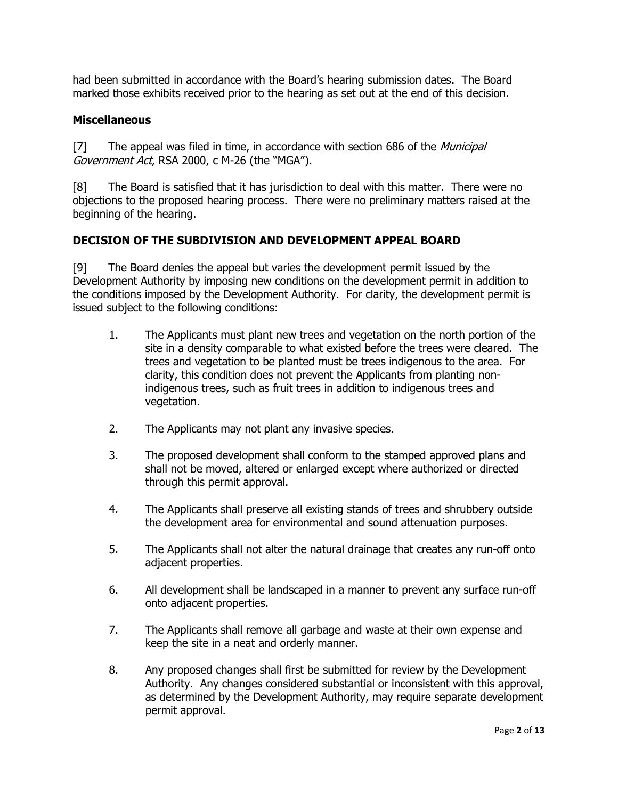had been submitted in accordance with the Board's hearing submission dates. The Board marked those exhibits received prior to the hearing as set out at the end of this decision.

### **Miscellaneous**

[7] The appeal was filed in time, in accordance with section 686 of the *Municipal* Government Act, RSA 2000, c M-26 (the "MGA").

[8] The Board is satisfied that it has jurisdiction to deal with this matter. There were no objections to the proposed hearing process. There were no preliminary matters raised at the beginning of the hearing.

### **DECISION OF THE SUBDIVISION AND DEVELOPMENT APPEAL BOARD**

[9] The Board denies the appeal but varies the development permit issued by the Development Authority by imposing new conditions on the development permit in addition to the conditions imposed by the Development Authority. For clarity, the development permit is issued subject to the following conditions:

- <span id="page-1-0"></span>1. The Applicants must plant new trees and vegetation on the north portion of the site in a density comparable to what existed before the trees were cleared. The trees and vegetation to be planted must be trees indigenous to the area. For clarity, this condition does not prevent the Applicants from planting nonindigenous trees, such as fruit trees in addition to indigenous trees and vegetation.
- <span id="page-1-1"></span>2. The Applicants may not plant any invasive species.
- 3. The proposed development shall conform to the stamped approved plans and shall not be moved, altered or enlarged except where authorized or directed through this permit approval.
- 4. The Applicants shall preserve all existing stands of trees and shrubbery outside the development area for environmental and sound attenuation purposes.
- 5. The Applicants shall not alter the natural drainage that creates any run-off onto adjacent properties.
- 6. All development shall be landscaped in a manner to prevent any surface run-off onto adjacent properties.
- 7. The Applicants shall remove all garbage and waste at their own expense and keep the site in a neat and orderly manner.
- 8. Any proposed changes shall first be submitted for review by the Development Authority. Any changes considered substantial or inconsistent with this approval, as determined by the Development Authority, may require separate development permit approval.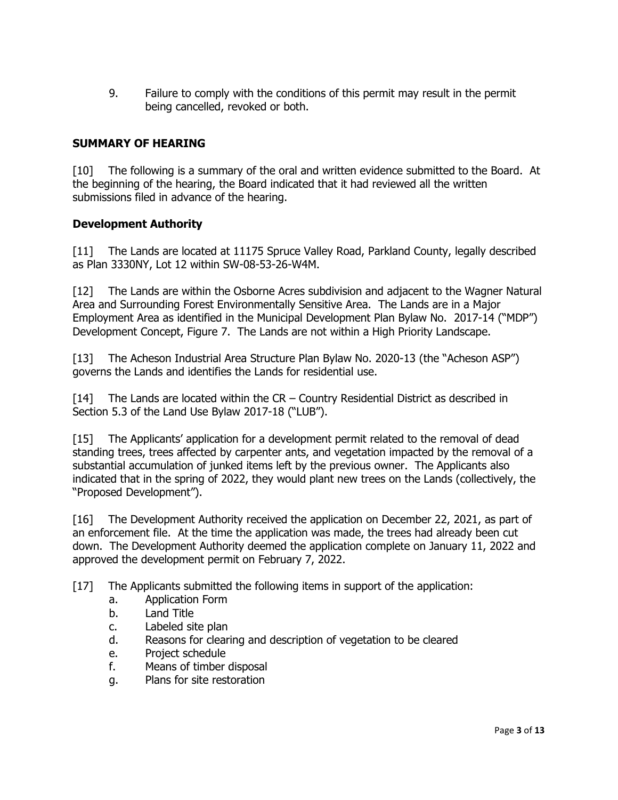9. Failure to comply with the conditions of this permit may result in the permit being cancelled, revoked or both.

## **SUMMARY OF HEARING**

[10] The following is a summary of the oral and written evidence submitted to the Board. At the beginning of the hearing, the Board indicated that it had reviewed all the written submissions filed in advance of the hearing.

### **Development Authority**

[11] The Lands are located at 11175 Spruce Valley Road, Parkland County, legally described as Plan 3330NY, Lot 12 within SW-08-53-26-W4M.

[12] The Lands are within the Osborne Acres subdivision and adjacent to the Wagner Natural Area and Surrounding Forest Environmentally Sensitive Area. The Lands are in a Major Employment Area as identified in the Municipal Development Plan Bylaw No. 2017-14 ("MDP") Development Concept, Figure 7. The Lands are not within a High Priority Landscape.

[13] The Acheson Industrial Area Structure Plan Bylaw No. 2020-13 (the "Acheson ASP") governs the Lands and identifies the Lands for residential use.

[14] The Lands are located within the CR – Country Residential District as described in Section 5.3 of the Land Use Bylaw 2017-18 ("LUB").

[15] The Applicants' application for a development permit related to the removal of dead standing trees, trees affected by carpenter ants, and vegetation impacted by the removal of a substantial accumulation of junked items left by the previous owner. The Applicants also indicated that in the spring of 2022, they would plant new trees on the Lands (collectively, the "Proposed Development").

[16] The Development Authority received the application on December 22, 2021, as part of an enforcement file. At the time the application was made, the trees had already been cut down. The Development Authority deemed the application complete on January 11, 2022 and approved the development permit on February 7, 2022.

- [17] The Applicants submitted the following items in support of the application:
	- a. Application Form
	- b. Land Title
	- c. Labeled site plan
	- d. Reasons for clearing and description of vegetation to be cleared
	- e. Project schedule
	- f. Means of timber disposal
	- g. Plans for site restoration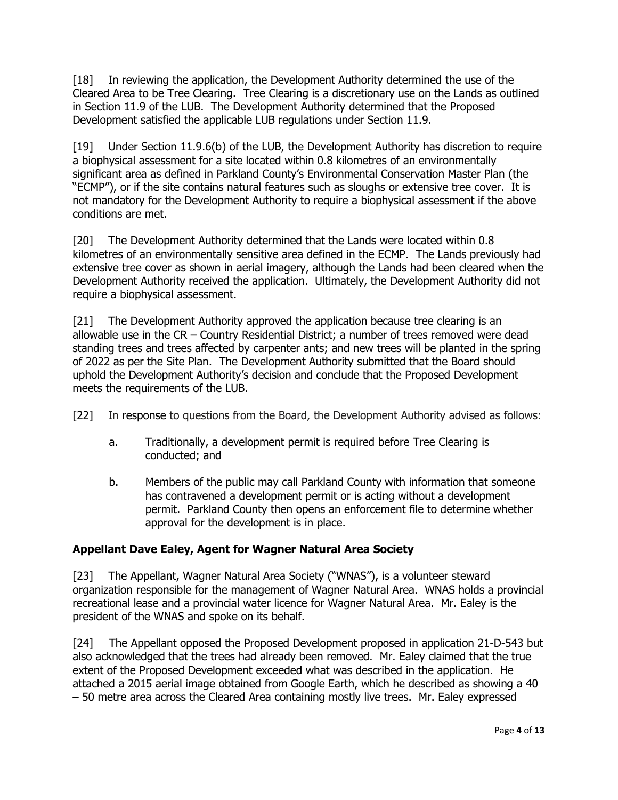[18] In reviewing the application, the Development Authority determined the use of the Cleared Area to be Tree Clearing. Tree Clearing is a discretionary use on the Lands as outlined in Section 11.9 of the LUB. The Development Authority determined that the Proposed Development satisfied the applicable LUB regulations under Section 11.9.

[19] Under Section 11.9.6(b) of the LUB, the Development Authority has discretion to require a biophysical assessment for a site located within 0.8 kilometres of an environmentally significant area as defined in Parkland County's Environmental Conservation Master Plan (the "ECMP"), or if the site contains natural features such as sloughs or extensive tree cover. It is not mandatory for the Development Authority to require a biophysical assessment if the above conditions are met.

[20] The Development Authority determined that the Lands were located within 0.8 kilometres of an environmentally sensitive area defined in the ECMP. The Lands previously had extensive tree cover as shown in aerial imagery, although the Lands had been cleared when the Development Authority received the application. Ultimately, the Development Authority did not require a biophysical assessment.

[21] The Development Authority approved the application because tree clearing is an allowable use in the CR – Country Residential District; a number of trees removed were dead standing trees and trees affected by carpenter ants; and new trees will be planted in the spring of 2022 as per the Site Plan. The Development Authority submitted that the Board should uphold the Development Authority's decision and conclude that the Proposed Development meets the requirements of the LUB.

- [22] In response to questions from the Board, the Development Authority advised as follows:
	- a. Traditionally, a development permit is required before Tree Clearing is conducted; and
	- b. Members of the public may call Parkland County with information that someone has contravened a development permit or is acting without a development permit. Parkland County then opens an enforcement file to determine whether approval for the development is in place.

# **Appellant Dave Ealey, Agent for Wagner Natural Area Society**

[23] The Appellant, Wagner Natural Area Society ("WNAS"), is a volunteer steward organization responsible for the management of Wagner Natural Area. WNAS holds a provincial recreational lease and a provincial water licence for Wagner Natural Area. Mr. Ealey is the president of the WNAS and spoke on its behalf.

[24] The Appellant opposed the Proposed Development proposed in application 21-D-543 but also acknowledged that the trees had already been removed. Mr. Ealey claimed that the true extent of the Proposed Development exceeded what was described in the application. He attached a 2015 aerial image obtained from Google Earth, which he described as showing a 40 – 50 metre area across the Cleared Area containing mostly live trees. Mr. Ealey expressed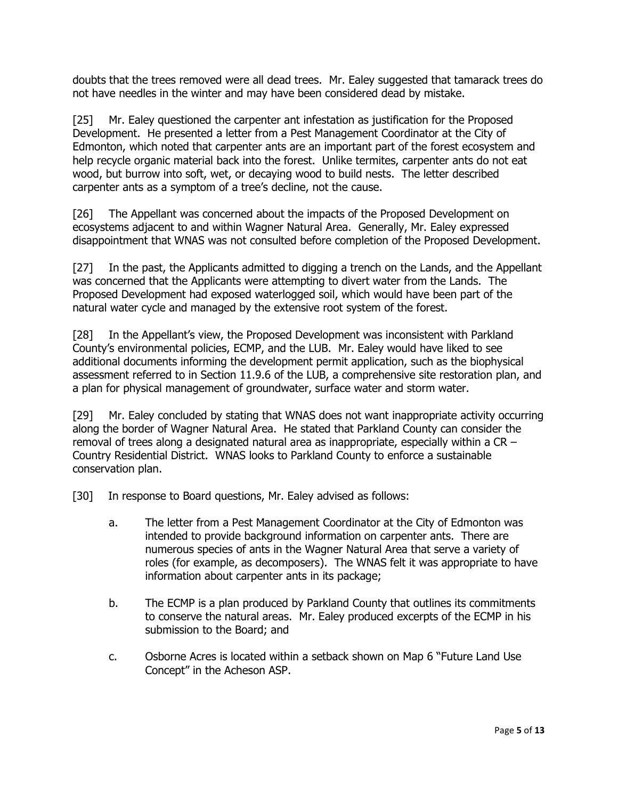doubts that the trees removed were all dead trees. Mr. Ealey suggested that tamarack trees do not have needles in the winter and may have been considered dead by mistake.

[25] Mr. Ealey questioned the carpenter ant infestation as justification for the Proposed Development. He presented a letter from a Pest Management Coordinator at the City of Edmonton, which noted that carpenter ants are an important part of the forest ecosystem and help recycle organic material back into the forest. Unlike termites, carpenter ants do not eat wood, but burrow into soft, wet, or decaying wood to build nests. The letter described carpenter ants as a symptom of a tree's decline, not the cause.

[26] The Appellant was concerned about the impacts of the Proposed Development on ecosystems adjacent to and within Wagner Natural Area. Generally, Mr. Ealey expressed disappointment that WNAS was not consulted before completion of the Proposed Development.

[27] In the past, the Applicants admitted to digging a trench on the Lands, and the Appellant was concerned that the Applicants were attempting to divert water from the Lands. The Proposed Development had exposed waterlogged soil, which would have been part of the natural water cycle and managed by the extensive root system of the forest.

[28] In the Appellant's view, the Proposed Development was inconsistent with Parkland County's environmental policies, ECMP, and the LUB. Mr. Ealey would have liked to see additional documents informing the development permit application, such as the biophysical assessment referred to in Section 11.9.6 of the LUB, a comprehensive site restoration plan, and a plan for physical management of groundwater, surface water and storm water.

[29] Mr. Ealey concluded by stating that WNAS does not want inappropriate activity occurring along the border of Wagner Natural Area. He stated that Parkland County can consider the removal of trees along a designated natural area as inappropriate, especially within a CR – Country Residential District. WNAS looks to Parkland County to enforce a sustainable conservation plan.

[30] In response to Board questions, Mr. Ealey advised as follows:

- a. The letter from a Pest Management Coordinator at the City of Edmonton was intended to provide background information on carpenter ants. There are numerous species of ants in the Wagner Natural Area that serve a variety of roles (for example, as decomposers). The WNAS felt it was appropriate to have information about carpenter ants in its package;
- b. The ECMP is a plan produced by Parkland County that outlines its commitments to conserve the natural areas. Mr. Ealey produced excerpts of the ECMP in his submission to the Board; and
- c. Osborne Acres is located within a setback shown on Map 6 "Future Land Use Concept" in the Acheson ASP.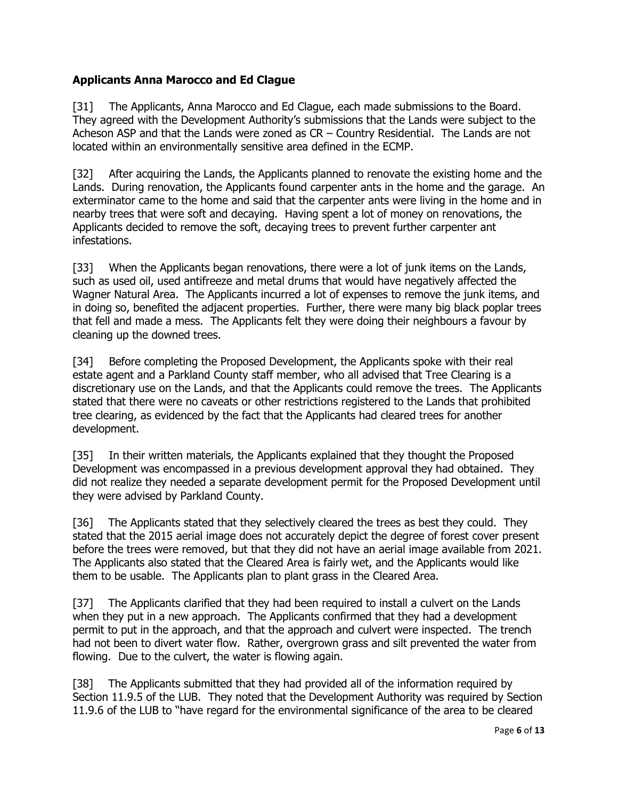# **Applicants Anna Marocco and Ed Clague**

[31] The Applicants, Anna Marocco and Ed Clague, each made submissions to the Board. They agreed with the Development Authority's submissions that the Lands were subject to the Acheson ASP and that the Lands were zoned as CR – Country Residential. The Lands are not located within an environmentally sensitive area defined in the ECMP.

[32] After acquiring the Lands, the Applicants planned to renovate the existing home and the Lands. During renovation, the Applicants found carpenter ants in the home and the garage. An exterminator came to the home and said that the carpenter ants were living in the home and in nearby trees that were soft and decaying. Having spent a lot of money on renovations, the Applicants decided to remove the soft, decaying trees to prevent further carpenter ant infestations.

[33] When the Applicants began renovations, there were a lot of junk items on the Lands, such as used oil, used antifreeze and metal drums that would have negatively affected the Wagner Natural Area. The Applicants incurred a lot of expenses to remove the junk items, and in doing so, benefited the adjacent properties. Further, there were many big black poplar trees that fell and made a mess. The Applicants felt they were doing their neighbours a favour by cleaning up the downed trees.

[34] Before completing the Proposed Development, the Applicants spoke with their real estate agent and a Parkland County staff member, who all advised that Tree Clearing is a discretionary use on the Lands, and that the Applicants could remove the trees. The Applicants stated that there were no caveats or other restrictions registered to the Lands that prohibited tree clearing, as evidenced by the fact that the Applicants had cleared trees for another development.

[35] In their written materials, the Applicants explained that they thought the Proposed Development was encompassed in a previous development approval they had obtained. They did not realize they needed a separate development permit for the Proposed Development until they were advised by Parkland County.

[36] The Applicants stated that they selectively cleared the trees as best they could. They stated that the 2015 aerial image does not accurately depict the degree of forest cover present before the trees were removed, but that they did not have an aerial image available from 2021. The Applicants also stated that the Cleared Area is fairly wet, and the Applicants would like them to be usable. The Applicants plan to plant grass in the Cleared Area.

[37] The Applicants clarified that they had been required to install a culvert on the Lands when they put in a new approach. The Applicants confirmed that they had a development permit to put in the approach, and that the approach and culvert were inspected. The trench had not been to divert water flow. Rather, overgrown grass and silt prevented the water from flowing. Due to the culvert, the water is flowing again.

[38] The Applicants submitted that they had provided all of the information required by Section 11.9.5 of the LUB. They noted that the Development Authority was required by Section 11.9.6 of the LUB to "have regard for the environmental significance of the area to be cleared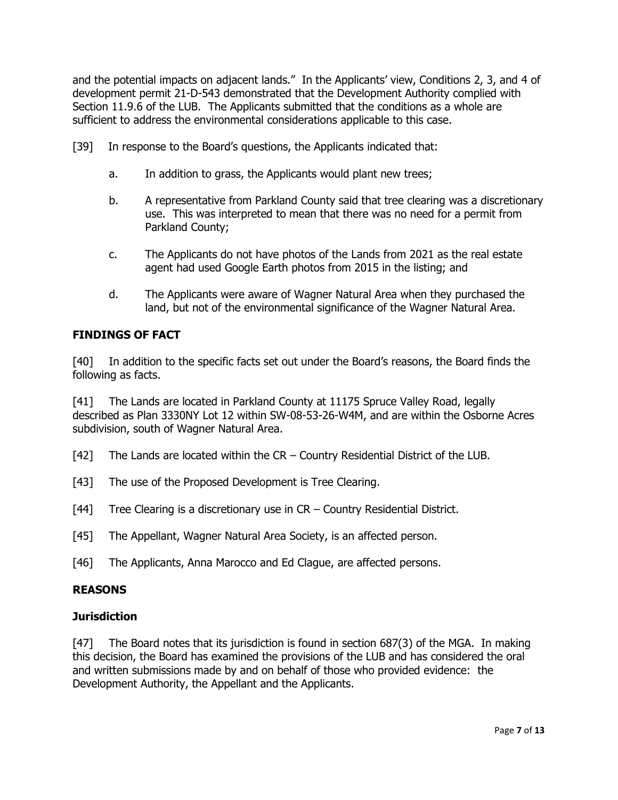and the potential impacts on adjacent lands." In the Applicants' view, Conditions 2, 3, and 4 of development permit 21-D-543 demonstrated that the Development Authority complied with Section 11.9.6 of the LUB. The Applicants submitted that the conditions as a whole are sufficient to address the environmental considerations applicable to this case.

- [39] In response to the Board's questions, the Applicants indicated that:
	- a. In addition to grass, the Applicants would plant new trees;
	- b. A representative from Parkland County said that tree clearing was a discretionary use. This was interpreted to mean that there was no need for a permit from Parkland County;
	- c. The Applicants do not have photos of the Lands from 2021 as the real estate agent had used Google Earth photos from 2015 in the listing; and
	- d. The Applicants were aware of Wagner Natural Area when they purchased the land, but not of the environmental significance of the Wagner Natural Area.

# **FINDINGS OF FACT**

[40] In addition to the specific facts set out under the Board's reasons, the Board finds the following as facts.

[41] The Lands are located in Parkland County at 11175 Spruce Valley Road, legally described as Plan 3330NY Lot 12 within SW-08-53-26-W4M, and are within the Osborne Acres subdivision, south of Wagner Natural Area.

[42] The Lands are located within the CR – Country Residential District of the LUB.

- [43] The use of the Proposed Development is Tree Clearing.
- [44] Tree Clearing is a discretionary use in CR Country Residential District.
- [45] The Appellant, Wagner Natural Area Society, is an affected person.

[46] The Applicants, Anna Marocco and Ed Clague, are affected persons.

### **REASONS**

#### **Jurisdiction**

[47] The Board notes that its jurisdiction is found in section 687(3) of the MGA. In making this decision, the Board has examined the provisions of the LUB and has considered the oral and written submissions made by and on behalf of those who provided evidence: the Development Authority, the Appellant and the Applicants.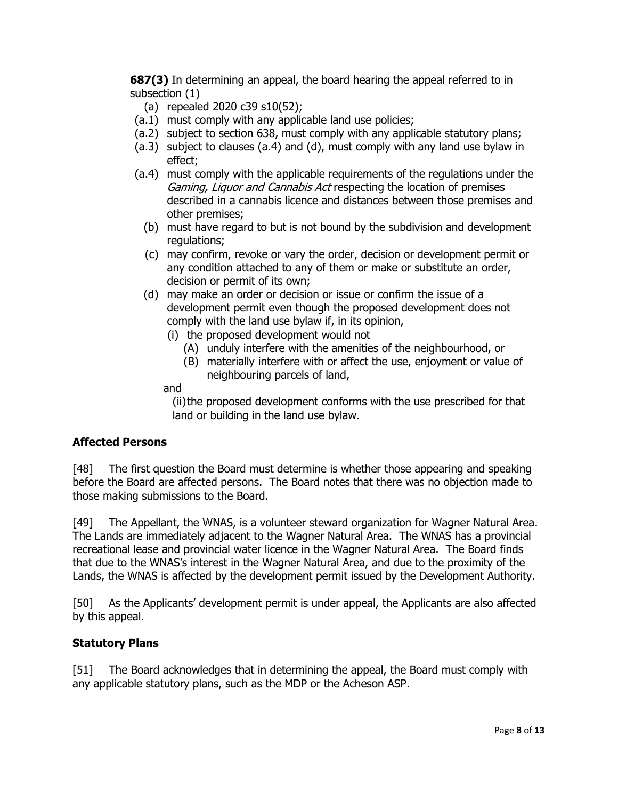**687(3)** In determining an appeal, the board hearing the appeal referred to in subsection (1)

- (a) repealed 2020 c39 s10(52);
- (a.1) must comply with any applicable land use policies;
- (a.2) subject to section 638, must comply with any applicable statutory plans;
- (a.3) subject to clauses (a.4) and (d), must comply with any land use bylaw in effect;
- (a.4) must comply with the applicable requirements of the regulations under the Gaming, Liguor and Cannabis Act respecting the location of premises described in a cannabis licence and distances between those premises and other premises;
	- (b) must have regard to but is not bound by the subdivision and development regulations;
	- (c) may confirm, revoke or vary the order, decision or development permit or any condition attached to any of them or make or substitute an order, decision or permit of its own;
	- (d) may make an order or decision or issue or confirm the issue of a development permit even though the proposed development does not comply with the land use bylaw if, in its opinion,
		- (i) the proposed development would not
			- (A) unduly interfere with the amenities of the neighbourhood, or
			- (B) materially interfere with or affect the use, enjoyment or value of neighbouring parcels of land,

and

(ii) the proposed development conforms with the use prescribed for that land or building in the land use bylaw.

# **Affected Persons**

[48] The first question the Board must determine is whether those appearing and speaking before the Board are affected persons. The Board notes that there was no objection made to those making submissions to the Board.

[49] The Appellant, the WNAS, is a volunteer steward organization for Wagner Natural Area. The Lands are immediately adjacent to the Wagner Natural Area. The WNAS has a provincial recreational lease and provincial water licence in the Wagner Natural Area. The Board finds that due to the WNAS's interest in the Wagner Natural Area, and due to the proximity of the Lands, the WNAS is affected by the development permit issued by the Development Authority.

[50] As the Applicants' development permit is under appeal, the Applicants are also affected by this appeal.

# **Statutory Plans**

[51] The Board acknowledges that in determining the appeal, the Board must comply with any applicable statutory plans, such as the MDP or the Acheson ASP.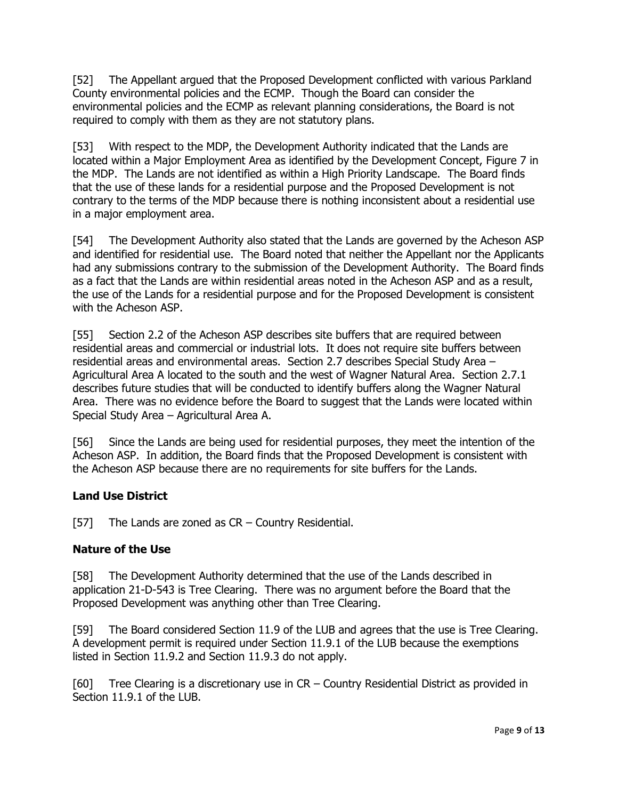[52] The Appellant argued that the Proposed Development conflicted with various Parkland County environmental policies and the ECMP. Though the Board can consider the environmental policies and the ECMP as relevant planning considerations, the Board is not required to comply with them as they are not statutory plans.

[53] With respect to the MDP, the Development Authority indicated that the Lands are located within a Major Employment Area as identified by the Development Concept, Figure 7 in the MDP. The Lands are not identified as within a High Priority Landscape. The Board finds that the use of these lands for a residential purpose and the Proposed Development is not contrary to the terms of the MDP because there is nothing inconsistent about a residential use in a major employment area.

[54] The Development Authority also stated that the Lands are governed by the Acheson ASP and identified for residential use. The Board noted that neither the Appellant nor the Applicants had any submissions contrary to the submission of the Development Authority. The Board finds as a fact that the Lands are within residential areas noted in the Acheson ASP and as a result, the use of the Lands for a residential purpose and for the Proposed Development is consistent with the Acheson ASP.

[55] Section 2.2 of the Acheson ASP describes site buffers that are required between residential areas and commercial or industrial lots. It does not require site buffers between residential areas and environmental areas. Section 2.7 describes Special Study Area – Agricultural Area A located to the south and the west of Wagner Natural Area. Section 2.7.1 describes future studies that will be conducted to identify buffers along the Wagner Natural Area. There was no evidence before the Board to suggest that the Lands were located within Special Study Area – Agricultural Area A.

[56] Since the Lands are being used for residential purposes, they meet the intention of the Acheson ASP. In addition, the Board finds that the Proposed Development is consistent with the Acheson ASP because there are no requirements for site buffers for the Lands.

# **Land Use District**

[57] The Lands are zoned as  $CR$  – Country Residential.

### **Nature of the Use**

[58] The Development Authority determined that the use of the Lands described in application 21-D-543 is Tree Clearing. There was no argument before the Board that the Proposed Development was anything other than Tree Clearing.

[59] The Board considered Section 11.9 of the LUB and agrees that the use is Tree Clearing. A development permit is required under Section 11.9.1 of the LUB because the exemptions listed in Section 11.9.2 and Section 11.9.3 do not apply.

[60] Tree Clearing is a discretionary use in CR – Country Residential District as provided in Section 11.9.1 of the LUB.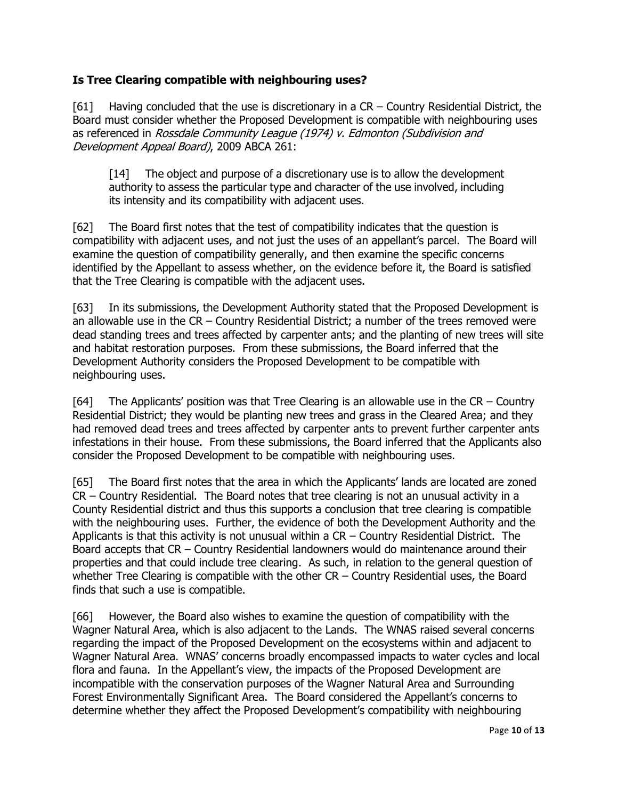## **Is Tree Clearing compatible with neighbouring uses?**

[61] Having concluded that the use is discretionary in a CR – Country Residential District, the Board must consider whether the Proposed Development is compatible with neighbouring uses as referenced in Rossdale Community League (1974) v. Edmonton (Subdivision and Development Appeal Board), 2009 ABCA 261:

[14] The object and purpose of a discretionary use is to allow the development authority to assess the particular type and character of the use involved, including its intensity and its compatibility with adjacent uses.

[62] The Board first notes that the test of compatibility indicates that the question is compatibility with adjacent uses, and not just the uses of an appellant's parcel. The Board will examine the question of compatibility generally, and then examine the specific concerns identified by the Appellant to assess whether, on the evidence before it, the Board is satisfied that the Tree Clearing is compatible with the adjacent uses.

[63] In its submissions, the Development Authority stated that the Proposed Development is an allowable use in the CR – Country Residential District; a number of the trees removed were dead standing trees and trees affected by carpenter ants; and the planting of new trees will site and habitat restoration purposes. From these submissions, the Board inferred that the Development Authority considers the Proposed Development to be compatible with neighbouring uses.

[64] The Applicants' position was that Tree Clearing is an allowable use in the CR – Country Residential District; they would be planting new trees and grass in the Cleared Area; and they had removed dead trees and trees affected by carpenter ants to prevent further carpenter ants infestations in their house. From these submissions, the Board inferred that the Applicants also consider the Proposed Development to be compatible with neighbouring uses.

[65] The Board first notes that the area in which the Applicants' lands are located are zoned CR – Country Residential. The Board notes that tree clearing is not an unusual activity in a County Residential district and thus this supports a conclusion that tree clearing is compatible with the neighbouring uses. Further, the evidence of both the Development Authority and the Applicants is that this activity is not unusual within a CR – Country Residential District. The Board accepts that CR – Country Residential landowners would do maintenance around their properties and that could include tree clearing. As such, in relation to the general question of whether Tree Clearing is compatible with the other CR – Country Residential uses, the Board finds that such a use is compatible.

[66] However, the Board also wishes to examine the question of compatibility with the Wagner Natural Area, which is also adjacent to the Lands. The WNAS raised several concerns regarding the impact of the Proposed Development on the ecosystems within and adjacent to Wagner Natural Area. WNAS' concerns broadly encompassed impacts to water cycles and local flora and fauna. In the Appellant's view, the impacts of the Proposed Development are incompatible with the conservation purposes of the Wagner Natural Area and Surrounding Forest Environmentally Significant Area. The Board considered the Appellant's concerns to determine whether they affect the Proposed Development's compatibility with neighbouring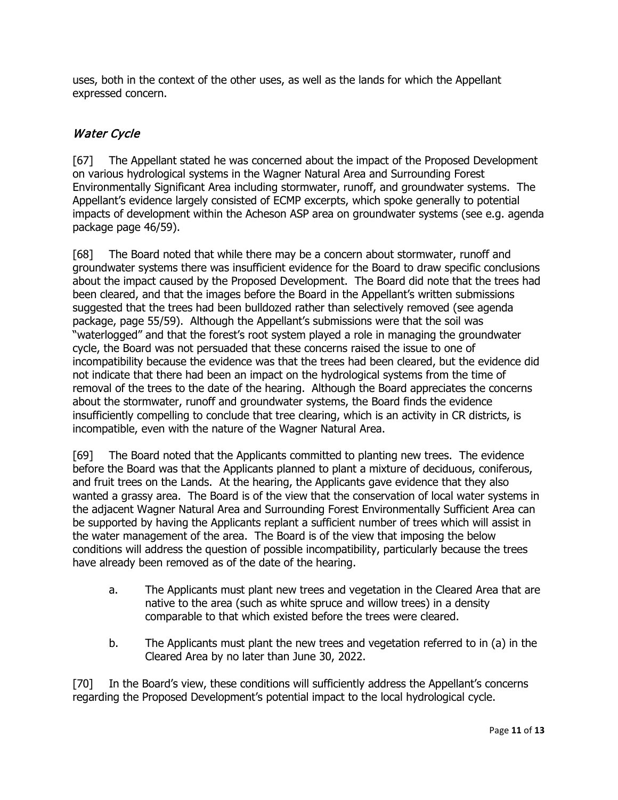uses, both in the context of the other uses, as well as the lands for which the Appellant expressed concern.

# Water Cycle

[67] The Appellant stated he was concerned about the impact of the Proposed Development on various hydrological systems in the Wagner Natural Area and Surrounding Forest Environmentally Significant Area including stormwater, runoff, and groundwater systems. The Appellant's evidence largely consisted of ECMP excerpts, which spoke generally to potential impacts of development within the Acheson ASP area on groundwater systems (see e.g. agenda package page 46/59).

[68] The Board noted that while there may be a concern about stormwater, runoff and groundwater systems there was insufficient evidence for the Board to draw specific conclusions about the impact caused by the Proposed Development. The Board did note that the trees had been cleared, and that the images before the Board in the Appellant's written submissions suggested that the trees had been bulldozed rather than selectively removed (see agenda package, page 55/59). Although the Appellant's submissions were that the soil was "waterlogged" and that the forest's root system played a role in managing the groundwater cycle, the Board was not persuaded that these concerns raised the issue to one of incompatibility because the evidence was that the trees had been cleared, but the evidence did not indicate that there had been an impact on the hydrological systems from the time of removal of the trees to the date of the hearing. Although the Board appreciates the concerns about the stormwater, runoff and groundwater systems, the Board finds the evidence insufficiently compelling to conclude that tree clearing, which is an activity in CR districts, is incompatible, even with the nature of the Wagner Natural Area.

[69] The Board noted that the Applicants committed to planting new trees. The evidence before the Board was that the Applicants planned to plant a mixture of deciduous, coniferous, and fruit trees on the Lands. At the hearing, the Applicants gave evidence that they also wanted a grassy area. The Board is of the view that the conservation of local water systems in the adjacent Wagner Natural Area and Surrounding Forest Environmentally Sufficient Area can be supported by having the Applicants replant a sufficient number of trees which will assist in the water management of the area. The Board is of the view that imposing the below conditions will address the question of possible incompatibility, particularly because the trees have already been removed as of the date of the hearing.

- a. The Applicants must plant new trees and vegetation in the Cleared Area that are native to the area (such as white spruce and willow trees) in a density comparable to that which existed before the trees were cleared.
- b. The Applicants must plant the new trees and vegetation referred to in (a) in the Cleared Area by no later than June 30, 2022.

[70] In the Board's view, these conditions will sufficiently address the Appellant's concerns regarding the Proposed Development's potential impact to the local hydrological cycle.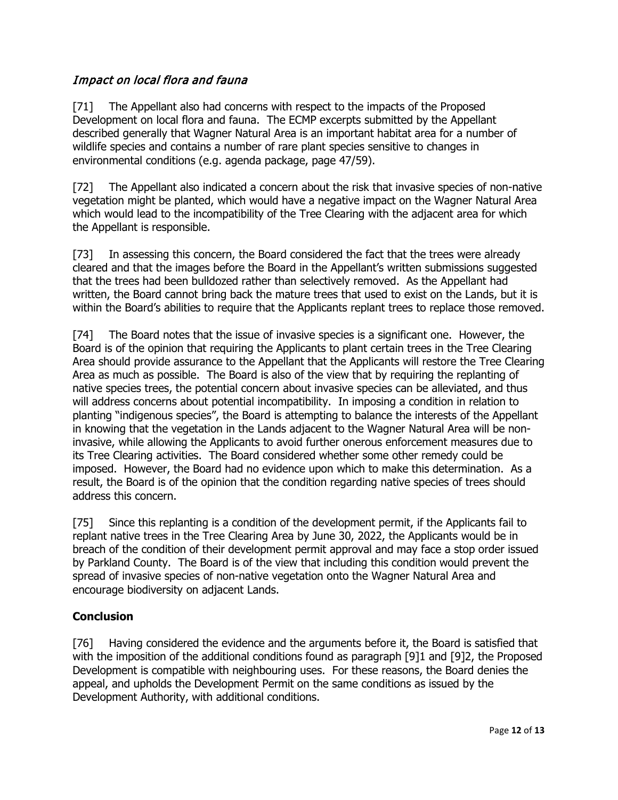# Impact on local flora and fauna

[71] The Appellant also had concerns with respect to the impacts of the Proposed Development on local flora and fauna. The ECMP excerpts submitted by the Appellant described generally that Wagner Natural Area is an important habitat area for a number of wildlife species and contains a number of rare plant species sensitive to changes in environmental conditions (e.g. agenda package, page 47/59).

[72] The Appellant also indicated a concern about the risk that invasive species of non-native vegetation might be planted, which would have a negative impact on the Wagner Natural Area which would lead to the incompatibility of the Tree Clearing with the adjacent area for which the Appellant is responsible.

[73] In assessing this concern, the Board considered the fact that the trees were already cleared and that the images before the Board in the Appellant's written submissions suggested that the trees had been bulldozed rather than selectively removed. As the Appellant had written, the Board cannot bring back the mature trees that used to exist on the Lands, but it is within the Board's abilities to require that the Applicants replant trees to replace those removed.

[74] The Board notes that the issue of invasive species is a significant one. However, the Board is of the opinion that requiring the Applicants to plant certain trees in the Tree Clearing Area should provide assurance to the Appellant that the Applicants will restore the Tree Clearing Area as much as possible. The Board is also of the view that by requiring the replanting of native species trees, the potential concern about invasive species can be alleviated, and thus will address concerns about potential incompatibility. In imposing a condition in relation to planting "indigenous species", the Board is attempting to balance the interests of the Appellant in knowing that the vegetation in the Lands adjacent to the Wagner Natural Area will be noninvasive, while allowing the Applicants to avoid further onerous enforcement measures due to its Tree Clearing activities. The Board considered whether some other remedy could be imposed. However, the Board had no evidence upon which to make this determination. As a result, the Board is of the opinion that the condition regarding native species of trees should address this concern.

[75] Since this replanting is a condition of the development permit, if the Applicants fail to replant native trees in the Tree Clearing Area by June 30, 2022, the Applicants would be in breach of the condition of their development permit approval and may face a stop order issued by Parkland County. The Board is of the view that including this condition would prevent the spread of invasive species of non-native vegetation onto the Wagner Natural Area and encourage biodiversity on adjacent Lands.

# **Conclusion**

[76] Having considered the evidence and the arguments before it, the Board is satisfied that with the imposition of the additional conditions found as paragraph [\[9\]1](#page-1-0) and [\[9\]2,](#page-1-1) the Proposed Development is compatible with neighbouring uses. For these reasons, the Board denies the appeal, and upholds the Development Permit on the same conditions as issued by the Development Authority, with additional conditions.